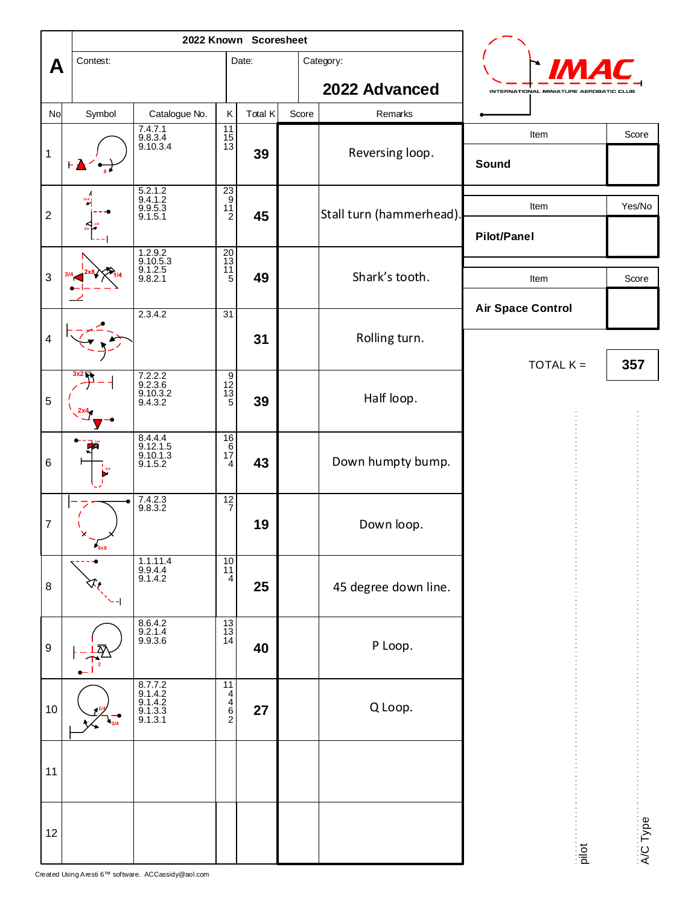|                  |          | 2022 Known Scoresheet                             |                                                                 |         |       |                          |                                        |          |
|------------------|----------|---------------------------------------------------|-----------------------------------------------------------------|---------|-------|--------------------------|----------------------------------------|----------|
| A                | Contest: |                                                   |                                                                 | Date:   |       | Category:                |                                        |          |
|                  |          |                                                   |                                                                 |         |       | 2022 Advanced            | INTERNATIONAL MINIATURE AEROBATIC CLUB |          |
| No               | Symbol   | Catalogue No.                                     | К                                                               | Total K | Score | Remarks                  |                                        |          |
| $\mathbf 1$      | ⊢▲       | 7.4.7.1<br>9.8.3.4<br>9.10.3.4                    | $\frac{11}{15}$<br>$13$                                         | 39      |       | Reversing loop.          | Item<br>Sound                          | Score    |
| $\boldsymbol{2}$ |          | $\frac{5.2.1.2}{9.4.1.2}$<br>$9.9.5.3$<br>9.1.5.1 | $\begin{array}{c}\n 23 \\  9 \\  11 \\  2\n \end{array}$        | 45      |       | Stall turn (hammerhead). | Item<br><b>Pilot/Panel</b>             | Yes/No   |
| 3                |          | 1.2.9.2<br>9.10.5.3<br>9.1.2.5<br>9.8.2.1         | $\frac{20}{13}$                                                 | 49      |       | Shark's tooth.           | Item                                   | Score    |
| 4                |          | 2.3.4.2                                           | 31                                                              | 31      |       | Rolling turn.            | <b>Air Space Control</b>               |          |
|                  |          | 7.2.2.2                                           | م خامتہ ہ                                                       |         |       |                          | TOTAL $K =$                            | 357      |
| 5                |          | $9.2.3.6$<br>$9.10.3.2$<br>$9.4.3.2$              |                                                                 | 39      |       | Half loop.               |                                        |          |
| 6                |          | 8.4.4.4<br>9.12.1.5<br>9.10.1.3<br>9.1.5.2        | $\frac{16}{6}$<br>$\frac{6}{1}$<br>$\frac{4}{3}$                | 43      |       | Down humpty bump.        |                                        |          |
| $\boldsymbol{7}$ | 4x8      | 7.4.2.3<br>9.8.3.2                                | $\frac{12}{7}$                                                  | 19      |       | Down loop.               |                                        |          |
| 8                |          | 1.1.11.4<br>9.9.4.4<br>9.1.4.2                    | $\begin{array}{c} 10 \\ 11 \end{array}$<br>$\overline{4}$       | 25      |       | 45 degree down line.     |                                        |          |
| $\boldsymbol{9}$ |          | 8.6.4.2<br>9.2.1.4<br>9.9.3.6                     | $\begin{array}{c} 13 \\ 13 \\ 14 \end{array}$                   | 40      |       | P Loop.                  |                                        |          |
| $10\,$           |          | 8.7.7.2<br>9.1.4.2<br>9.1.3.3<br>9.1.3.3          | $\begin{array}{c}\n\hline\n11 \\ 4 \\ 6 \\ 6 \\ 2\n\end{array}$ | 27      |       | Q Loop.                  |                                        |          |
| 11               |          |                                                   |                                                                 |         |       |                          |                                        |          |
| 12               |          |                                                   |                                                                 |         |       |                          | pilot                                  | A/C Type |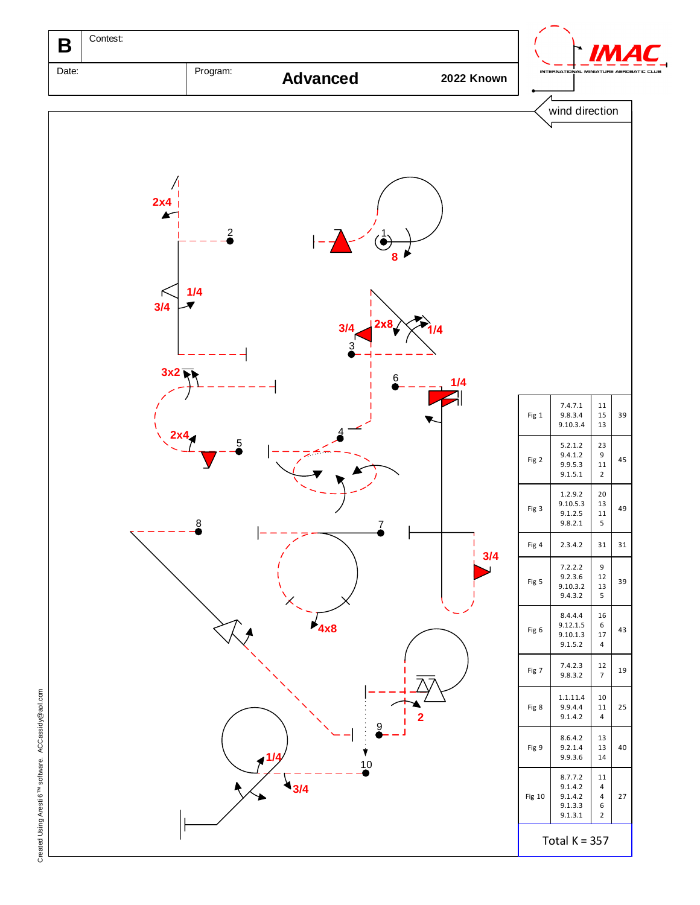